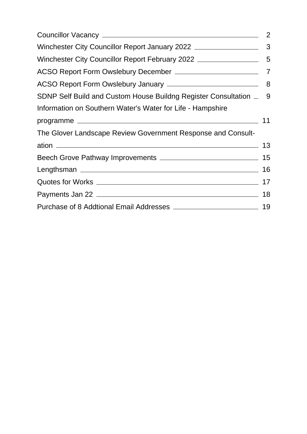|                                                                    | 2 |
|--------------------------------------------------------------------|---|
|                                                                    |   |
|                                                                    |   |
|                                                                    |   |
|                                                                    |   |
| SDNP Self Build and Custom House Buildng Register Consultation _ 9 |   |
| Information on Southern Water's Water for Life - Hampshire         |   |
| programme 11                                                       |   |
| The Glover Landscape Review Government Response and Consult-       |   |
|                                                                    |   |
|                                                                    |   |
|                                                                    |   |
|                                                                    |   |
|                                                                    |   |
|                                                                    |   |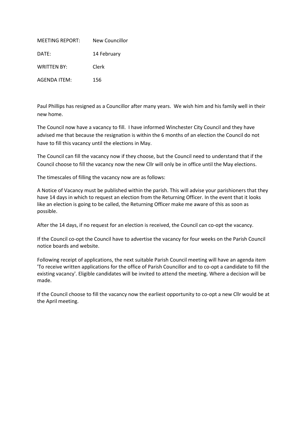<span id="page-1-0"></span>

| <b>MEETING REPORT:</b> | New Councillor |
|------------------------|----------------|
| DATE:                  | 14 February    |
| <b>WRITTEN BY:</b>     | Clerk          |
| AGENDA ITEM:           | 156            |

Paul Phillips has resigned as a Councillor after many years. We wish him and his family well in their new home.

The Council now have a vacancy to fill. I have informed Winchester City Council and they have advised me that because the resignation is within the 6 months of an election the Council do not have to fill this vacancy until the elections in May.

The Council can fill the vacancy now if they choose, but the Council need to understand that if the Council choose to fill the vacancy now the new Cllr will only be in office until the May elections.

The timescales of filling the vacancy now are as follows:

A Notice of Vacancy must be published within the parish. This will advise your parishioners that they have 14 days in which to request an election from the Returning Officer. In the event that it looks like an election is going to be called, the Returning Officer make me aware of this as soon as possible.

After the 14 days, if no request for an election is received, the Council can co-opt the vacancy.

If the Council co-opt the Council have to advertise the vacancy for four weeks on the Parish Council notice boards and website.

Following receipt of applications, the next suitable Parish Council meeting will have an agenda item 'To receive written applications for the office of Parish Councillor and to co-opt a candidate to fill the existing vacancy'. Eligible candidates will be invited to attend the meeting. Where a decision will be made.

If the Council choose to fill the vacancy now the earliest opportunity to co-opt a new Cllr would be at the April meeting.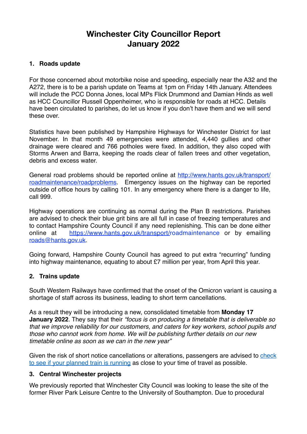# **Winchester City Councillor Report January 2022**

# <span id="page-2-0"></span>**1. Roads update**

For those concerned about motorbike noise and speeding, especially near the A32 and the A272, there is to be a parish update on Teams at 1pm on Friday 14th January. Attendees will include the PCC Donna Jones, local MPs Flick Drummond and Damian Hinds as well as HCC Councillor Russell Oppenheimer, who is responsible for roads at HCC. Details have been circulated to parishes, do let us know if you don't have them and we will send these over.

Statistics have been published by Hampshire Highways for Winchester District for last November. In that month 49 emergencies were attended, 4,440 gullies and other drainage were cleared and 766 potholes were fixed. In addition, they also coped with Storms Arwen and Barra, keeping the roads clear of fallen trees and other vegetation, debris and excess water.

General road problems should be reported online at http://www.hants.gov.uk/transport/ roadmaintenance/roadproblems. Emergency issues on the highway can be reported outside of office hours by calling 101. In any emergency where there is a danger to life, call 999.

Highway operations are continuing as normal during the Plan B restrictions. Parishes are advised to check their blue grit bins are all full in case of freezing temperatures and to contact Hampshire County Council if any need replenishing. This can be done either online at <https://www.hants.gov.uk/transport/roadmaintenance>or by emailing roads@hants.gov.uk.

Going forward, Hampshire County Council has agreed to put extra "recurring" funding into highway maintenance, equating to about £7 million per year, from April this year.

### **2. Trains update**

South Western Railways have confirmed that the onset of the Omicron variant is causing a shortage of staff across its business, leading to short term cancellations.

As a result they will be introducing a new, consolidated timetable from **Monday 17 January 2022**. They say that their *"focus is on producing a timetable that is deliverable so that we improve reliability for our customers, and caters for key workers, school pupils and those who cannot work from home. We will be publishing further details on our new timetable online as soon as we can in the new year"* 

Given the risk of short notice cancellations or alterations, passengers are advised to [check](https://scanner.topsec.com/?u=https%3A%2F%2Fwww.southwesternrailway.com%2Fplan-my-journey&t=e9070553639d07cc76b7d3c77a13c9ced253b23c&r=show&d=2475)  [to see if your planned train is running](https://scanner.topsec.com/?u=https%3A%2F%2Fwww.southwesternrailway.com%2Fplan-my-journey&t=e9070553639d07cc76b7d3c77a13c9ced253b23c&r=show&d=2475) as close to your time of travel as possible.

### **3. Central Winchester projects**

We previously reported that Winchester City Council was looking to lease the site of the former River Park Leisure Centre to the University of Southampton. Due to procedural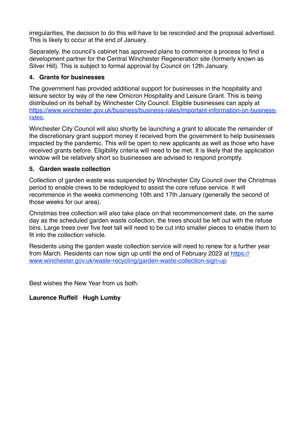irregularities, the decision to do this will have to be rescinded and the proposal advertised. This is likely to occur at the end of January.

Separately, the council's cabinet has approved plans to commence a process to find a development partner for the Central Winchester Regeneration site (formerly known as Silver Hill). This is subject to formal approval by Council on 12th January.

# **4. Grants for businesses**

The government has provided additional support for businesses in the hospitality and leisure sector by way of the new Omicron Hospitality and Leisure Grant. This is being distributed on its behalf by Winchester City Council. Eligible businesses can apply at https://www.winchester.gov.uk/business/business-rates/important-information-on-businessrates.

Winchester City Council will also shortly be launching a grant to allocate the remainder of the discretionary grant support money it received from the government to help businesses impacted by the pandemic. This will be open to new applicants as well as those who have received grants before. Eligibility criteria will need to be met. It is likely that the application window will be relatively short so businesses are advised to respond promptly.

## **5. Garden waste collection**

Collection of garden waste was suspended by Winchester City Council over the Christmas period to enable crews to be redeployed to assist the core refuse service. It will recommence in the weeks commencing 10th and 17th January (generally the second of those weeks for our area).

Christmas tree collection will also take place on that recommencement date, on the same day as the scheduled garden waste collection, the trees should be left out with the refuse bins. Large trees over five feet tall will need to be cut into smaller pieces to enable them to fit into the collection vehicle.

Residents using the garden waste collection service will need to renew for a further year from March. Residents can now sign up until the end of February 2023 at https:// www.winchester.gov.uk/waste-recycling/garden-waste-collection-sign-up

Best wishes the New Year from us both.

# **Laurence Ruffell Hugh Lumby**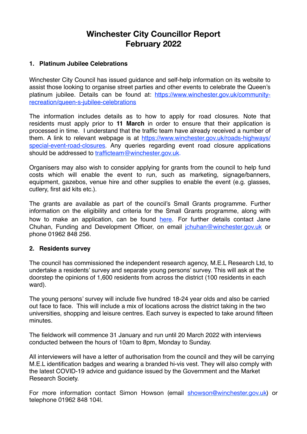# **Winchester City Councillor Report February 2022**

# <span id="page-4-0"></span>**1. Platinum Jubilee Celebrations**

Winchester City Council has issued guidance and self-help information on its website to assist those looking to organise street parties and other events to celebrate the Queen's platinum jubilee. Details can be found at: [https://www.winchester.gov.uk/community](https://www.winchester.gov.uk/community-recreation/queen-s-jubilee-celebrations)[recreation/queen-s-jubilee-celebrations](https://www.winchester.gov.uk/community-recreation/queen-s-jubilee-celebrations)

The information includes details as to how to apply for road closures. Note that residents must apply prior to **11 March** in order to ensure that their application is processed in time. I understand that the traffic team have already received a number of them. A link to relevant webpage is at [https://www.winchester.gov.uk/roads-highways/](https://www.winchester.gov.uk/roads-highways/special-event-road-closures) [special-event-road-closures](https://www.winchester.gov.uk/roads-highways/special-event-road-closures). Any queries regarding event road closure applications should be addressed to trafficteam@winchester.gov.uk.

Organisers may also wish to consider applying for grants from the council to help fund costs which will enable the event to run, such as marketing, signage/banners, equipment, gazebos, venue hire and other supplies to enable the event (e.g. glasses, cutlery, first aid kits etc.).

The grants are available as part of the council's Small Grants programme. Further information on the eligibility and criteria for the Small Grants programme, along with how to make an application, can be found [here.](https://www.winchester.gov.uk/grants-for-not-for-profit-organisations/small-grant-scheme) For further details contact Jane Chuhan, Funding and Development Officer, on email [jchuhan@winchester.gov.uk](mailto:jchuhan@winchester.gov.uk) or phone 01962 848 256.

### **2. Residents survey**

The council has commissioned the independent research agency, M.E.L Research Ltd, to undertake a residents' survey and separate young persons' survey. This will ask at the doorstep the opinions of 1,600 residents from across the district (100 residents in each ward).

The young persons' survey will include five hundred 18-24 year olds and also be carried out face to face. This will include a mix of locations across the district taking in the two universities, shopping and leisure centres. Each survey is expected to take around fifteen minutes.

The fieldwork will commence 31 January and run until 20 March 2022 with interviews conducted between the hours of 10am to 8pm, Monday to Sunday.

All interviewers will have a letter of authorisation from the council and they will be carrying M.E.L identification badges and wearing a branded hi-vis vest. They will also comply with the latest COVID-19 advice and guidance issued by the Government and the Market Research Society.

For more information contact Simon Howson (email [showson@winchester.gov.uk](mailto:showson@winchester.gov.uk)) or telephone 01962 848 104l.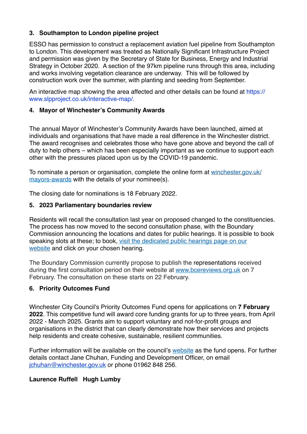# **3. Southampton to London pipeline project**

ESSO has permission to construct a replacement aviation fuel pipeline from Southampton to London. This development was treated as Nationally Significant Infrastructure Project and permission was given by the Secretary of State for Business, Energy and Industrial Strategy in October 2020. A section of the 97km pipeline runs through this area, including and works involving vegetation clearance are underway. This will be followed by construction work over the summer, with planting and seeding from September.

An interactive map showing the area affected and other details can be found at https:// www.slpproject.co.uk/interactive-map/.

## **4. Mayor of Winchester's Community Awards**

The annual Mayor of Winchester's Community Awards have been launched, aimed at individuals and organisations that have made a real difference in the Winchester district. The award recognises and celebrates those who have gone above and beyond the call of duty to help others – which has been especially important as we continue to support each other with the pressures placed upon us by the COVID-19 pandemic.

To nominate a person or organisation, complete the online form at [winchester.gov.uk/](https://www.winchester.gov.uk/forms/ShowForm.asp?fm_fid=490) [mayors-awards](https://www.winchester.gov.uk/forms/ShowForm.asp?fm_fid=490) with the details of your nominee(s).

The closing date for nominations is 18 February 2022.

## **5. 2023 Parliamentary boundaries review**

Residents will recall the consultation last year on proposed changed to the constituencies. The process has now moved to the second consultation phase, with the Boundary Commission announcing the locations and dates for public hearings. It is possible to book speaking slots at these; to book, [visit the dedicated public hearings page on our](https://scanner.topsec.com/?d=2475&u=https%3A%2F%2Fbit.ly%2Fbcepublichearings&t=a85c6eaf20776d86dc1420edfc3f909823d4620c&r=show)  [website](https://scanner.topsec.com/?d=2475&u=https%3A%2F%2Fbit.ly%2Fbcepublichearings&t=a85c6eaf20776d86dc1420edfc3f909823d4620c&r=show) and click on your chosen hearing.

The Boundary Commission currently propose to publish the representations received during the first consultation period on their website at [www.bcereviews.org.uk](https://scanner.topsec.com/?d=2475&u=http%3A%2F%2Fwww.bcereviews.org.uk%2F&t=698032aabcdbe8c9e28dc75d12e92c2213460192&r=show) on 7 February. The consultation on these starts on 22 February.

# **6. Priority Outcomes Fund**

Winchester City Council's Priority Outcomes Fund opens for applications on **7 February 2022**. This competitive fund will award core funding grants for up to three years, from April 2022 - March 2025. Grants aim to support voluntary and not-for-profit groups and organisations in the district that can clearly demonstrate how their services and projects help residents and create cohesive, sustainable, resilient communities.

Further information will be available on the council's [website](https://www.winchester.gov.uk/grants-for-not-for-profit-organisations) as the fund opens. For further details contact Jane Chuhan, Funding and Development Officer, on email [jchuhan@winchester.gov.uk](mailto:jchuhan@winchester.gov.uk) or phone 01962 848 256.

# **Laurence Ruffell Hugh Lumby**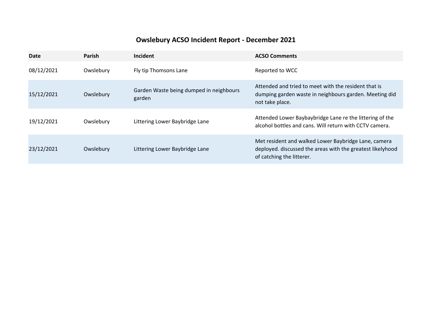# **Owslebury ACSO Incident Report - December 2021**

<span id="page-6-0"></span>

| <b>Date</b> | Parish    | Incident                                          | <b>ACSO Comments</b>                                                                                                                            |
|-------------|-----------|---------------------------------------------------|-------------------------------------------------------------------------------------------------------------------------------------------------|
| 08/12/2021  | Owslebury | Fly tip Thomsons Lane                             | Reported to WCC                                                                                                                                 |
| 15/12/2021  | Owslebury | Garden Waste being dumped in neighbours<br>garden | Attended and tried to meet with the resident that is<br>dumping garden waste in neighbours garden. Meeting did<br>not take place.               |
| 19/12/2021  | Owslebury | Littering Lower Baybridge Lane                    | Attended Lower Baybaybridge Lane re the littering of the<br>alcohol bottles and cans. Will return with CCTV camera.                             |
| 23/12/2021  | Owslebury | Littering Lower Baybridge Lane                    | Met resident and walked Lower Baybridge Lane, camera<br>deployed. discussed the areas with the greatest likelyhood<br>of catching the litterer. |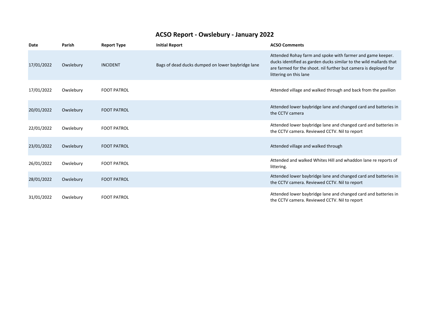# **ACSO Report - Owslebury - January 2022**

<span id="page-7-0"></span>

| Date       | Parish    | <b>Report Type</b> | <b>Initial Report</b>                             | <b>ACSO Comments</b>                                                                                                                                                                                                           |
|------------|-----------|--------------------|---------------------------------------------------|--------------------------------------------------------------------------------------------------------------------------------------------------------------------------------------------------------------------------------|
| 17/01/2022 | Owslebury | <b>INCIDENT</b>    | Bags of dead ducks dumped on lower baybridge lane | Attended Rohay farm and spoke with farmer and game keeper.<br>ducks identified as garden ducks similar to the wild mallards that<br>are farmed for the shoot, nil further but camera is deployed for<br>littering on this lane |
| 17/01/2022 | Owslebury | <b>FOOT PATROL</b> |                                                   | Attended village and walked through and back from the pavilion                                                                                                                                                                 |
| 20/01/2022 | Owslebury | <b>FOOT PATROL</b> |                                                   | Attended lower baybridge lane and changed card and batteries in<br>the CCTV camera                                                                                                                                             |
| 22/01/2022 | Owslebury | <b>FOOT PATROL</b> |                                                   | Attended lower baybridge lane and changed card and batteries in<br>the CCTV camera. Reviewed CCTV. Nil to report                                                                                                               |
| 23/01/2022 | Owslebury | <b>FOOT PATROL</b> |                                                   | Attended village and walked through                                                                                                                                                                                            |
| 26/01/2022 | Owslebury | <b>FOOT PATROL</b> |                                                   | Attended and walked Whites Hill and whaddon lane re reports of<br>littering.                                                                                                                                                   |
| 28/01/2022 | Owslebury | <b>FOOT PATROL</b> |                                                   | Attended lower baybridge lane and changed card and batteries in<br>the CCTV camera. Reviewed CCTV. Nil to report                                                                                                               |
| 31/01/2022 | Owslebury | <b>FOOT PATROL</b> |                                                   | Attended lower baybridge lane and changed card and batteries in<br>the CCTV camera. Reviewed CCTV. Nil to report                                                                                                               |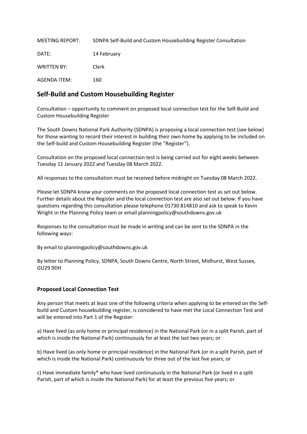<span id="page-8-0"></span>

| MEETING REPORT:    | SDNPA Self-Build and Custom Housebuilding Register Consultation |
|--------------------|-----------------------------------------------------------------|
| DATE:              | 14 February                                                     |
| <b>WRITTEN BY:</b> | Clerk                                                           |
| AGENDA ITEM:       | 160                                                             |

# **Self-Build and Custom Housebuilding Register**

Consultation – opportunity to comment on proposed local connection test for the Self-Build and Custom Housebuilding Register

The South Downs National Park Authority (SDNPA) is proposing a local connection test (see below) for those wanting to record their interest in building their own home by applying to be included on the Self-build and Custom Housebuilding Register (the "Register").

Consultation on the proposed local connection test is being carried out for eight weeks between Tuesday 11 January 2022 and Tuesday 08 March 2022.

All responses to the consultation must be received before midnight on Tuesday 08 March 2022.

Please let SDNPA know your comments on the proposed local connection test as set out below. Further details about the Register and the local connection test are also set out below. If you have questions regarding this consultation please telephone 01730 814810 and ask to speak to Kevin Wright in the Planning Policy team or email planningpolicy@southdowns.gov.uk

Responses to the consultation must be made in writing and can be sent to the SDNPA in the following ways:

By email to planningpolicy@southdowns.gov.uk

By letter to Planning Policy, SDNPA, South Downs Centre, North Street, Midhurst, West Sussex, GU29 9DH

#### **Proposed Local Connection Test**

Any person that meets at least one of the following criteria when applying to be entered on the Selfbuild and Custom housebuilding register, is considered to have met the Local Connection Test and will be entered into Part 1 of the Register:

a) Have lived (as only home or principal residence) in the National Park (or in a split Parish, part of which is inside the National Park) continuously for at least the last two years; or

b) Have lived (as only home or principal residence) in the National Park (or in a split Parish, part of which is inside the National Park) continuously for three out of the last five years; or

c) Have immediate family\* who have lived continuously in the National Park (or lived in a split Parish, part of which is inside the National Park) for at least the previous five years; or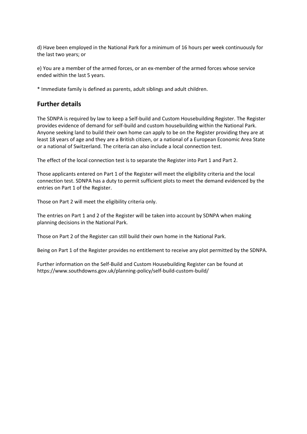d) Have been employed in the National Park for a minimum of 16 hours per week continuously for the last two years; or

e) You are a member of the armed forces, or an ex-member of the armed forces whose service ended within the last 5 years.

\* Immediate family is defined as parents, adult siblings and adult children.

#### **Further details**

The SDNPA is required by law to keep a Self-build and Custom Housebuilding Register. The Register provides evidence of demand for self-build and custom housebuilding within the National Park. Anyone seeking land to build their own home can apply to be on the Register providing they are at least 18 years of age and they are a British citizen, or a national of a European Economic Area State or a national of Switzerland. The criteria can also include a local connection test.

The effect of the local connection test is to separate the Register into Part 1 and Part 2.

Those applicants entered on Part 1 of the Register will meet the eligibility criteria and the local connection test. SDNPA has a duty to permit sufficient plots to meet the demand evidenced by the entries on Part 1 of the Register.

Those on Part 2 will meet the eligibility criteria only.

The entries on Part 1 and 2 of the Register will be taken into account by SDNPA when making planning decisions in the National Park.

Those on Part 2 of the Register can still build their own home in the National Park.

Being on Part 1 of the Register provides no entitlement to receive any plot permitted by the SDNPA.

Further information on the Self-Build and Custom Housebuilding Register can be found at https://www.southdowns.gov.uk/planning-policy/self-build-custom-build/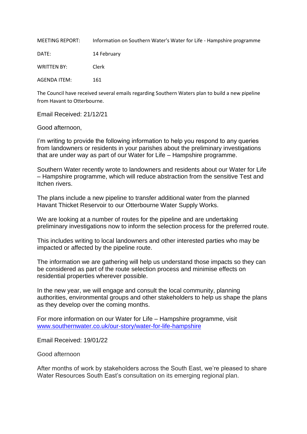<span id="page-10-0"></span>MEETING REPORT: Information on Southern Water's Water for Life - Hampshire programme

DATE: 14 February

WRITTEN BY: Clerk

AGENDA ITEM: 161

The Council have received several emails regarding Southern Waters plan to build a new pipeline from Havant to Otterbourne.

Email Received: 21/12/21

Good afternoon,

I'm writing to provide the following information to help you respond to any queries from landowners or residents in your parishes about the preliminary investigations that are under way as part of our Water for Life – Hampshire programme.

Southern Water recently wrote to landowners and residents about our Water for Life – Hampshire programme, which will reduce abstraction from the sensitive Test and Itchen rivers.

The plans include a new pipeline to transfer additional water from the planned Havant Thicket Reservoir to our Otterbourne Water Supply Works.

We are looking at a number of routes for the pipeline and are undertaking preliminary investigations now to inform the selection process for the preferred route.

This includes writing to local landowners and other interested parties who may be impacted or affected by the pipeline route.

The information we are gathering will help us understand those impacts so they can be considered as part of the route selection process and minimise effects on residential properties wherever possible.

In the new year, we will engage and consult the local community, planning authorities, environmental groups and other stakeholders to help us shape the plans as they develop over the coming months.

For more information on our Water for Life – Hampshire programme, visit [www.southernwater.co.uk/our-story/water-for-life-hampshire](http://www.southernwater.co.uk/our-story/water-for-life-hampshire)

Email Received: 19/01/22

Good afternoon

After months of work by stakeholders across the South East, we're pleased to share Water Resources South East's consultation on its emerging regional plan.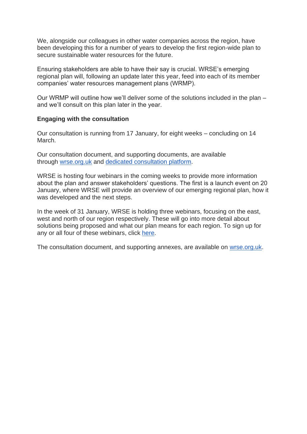We, alongside our colleagues in other water companies across the region, have been developing this for a number of years to develop the first region-wide plan to secure sustainable water resources for the future.

Ensuring stakeholders are able to have their say is crucial. WRSE's emerging regional plan will, following an update later this year, feed into each of its member companies' water resources management plans (WRMP).

Our WRMP will outline how we'll deliver some of the solutions included in the plan – and we'll consult on this plan later in the year.

#### **Engaging with the consultation**

Our consultation is running from 17 January, for eight weeks – concluding on 14 March.

Our consultation document, and supporting documents, are available through [wrse.org.uk](https://www.wrse.org.uk/) and [dedicated consultation platform.](https://wrse.uk.engagementhq.com/)

WRSE is hosting four webinars in the coming weeks to provide more information about the plan and answer stakeholders' questions. The first is a launch event on 20 January, where WRSE will provide an overview of our emerging regional plan, how it was developed and the next steps.

In the week of 31 January, WRSE is holding three webinars, focusing on the east, west and north of our region respectively. These will go into more detail about solutions being proposed and what our plan means for each region. To sign up for any or all four of these webinars, click [here.](https://forms.office.com/Pages/ResponsePage.aspx?id=RyCs8DjDLEuATnWckn-g5WFd53QeVdRApRob02fz2MZURTlZVURBWkc4TlhSVk1XSUdFQlJMRzFMUyQlQCN0PWcu)

The consultation document, and supporting annexes, are available on [wrse.org.uk.](https://www.wrse.org.uk/)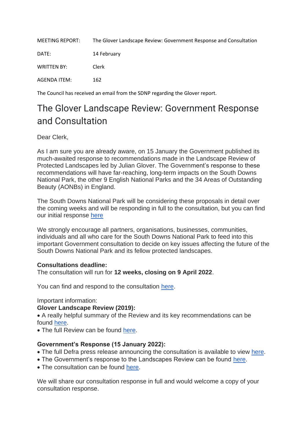<span id="page-12-0"></span>

| <b>MEETING REPORT:</b> | The Glover Landscape Review: Government Response and Consultation |
|------------------------|-------------------------------------------------------------------|
| DATE:                  | 14 February                                                       |
| <b>WRITTEN BY:</b>     | Clerk                                                             |
| AGENDA ITEM:           | 162                                                               |

The Council has received an email from the SDNP regarding the Glover report.

# The Glover Landscape Review: Government Response and Consultation

Dear Clerk,

As I am sure you are already aware, on 15 January the Government published its much-awaited response to recommendations made in the Landscape Review of Protected Landscapes led by Julian Glover. The Government's response to these recommendations will have far-reaching, long-term impacts on the South Downs National Park, the other 9 English National Parks and the 34 Areas of Outstanding Beauty (AONBs) in England.

The South Downs National Park will be considering these proposals in detail over the coming weeks and will be responding in full to the consultation, but you can find our initial response [here](https://www.southdowns.gov.uk/landscape-review-sdnpa-response/)

We strongly encourage all partners, organisations, businesses, communities, individuals and all who care for the South Downs National Park to feed into this important Government consultation to decide on key issues affecting the future of the South Downs National Park and its fellow protected landscapes.

### **Consultations deadline:**

The consultation will run for **12 weeks, closing on 9 April 2022**.

You can find and respond to the consultation [here.](https://consult.defra.gov.uk/future-landscapes-strategy/government-response-to-the-landscapes-review/)

Important information:

### **Glover Landscape Review (2019):**

• A really helpful summary of the Review and its key recommendations can be found [here.](https://www.gov.uk/government/publications/designated-landscapes-national-parks-and-aonbs-2018-review/landscapes-review-summary-of-findings)

• The full Review can be found [here.](https://assets.publishing.service.gov.uk/government/uploads/system/uploads/attachment_data/file/833726/landscapes-review-final-report.pdf)

### **Government's Response (15 January 2022):**

- The full Defra press release announcing the consultation is available to view [here.](https://www.gov.uk/government/news/ambitious-proposals-to-strengthen-our-protected-landscapes-announced)
- The Government's response to the Landscapes Review can be found [here.](https://eur03.safelinks.protection.outlook.com/?url=https%3A%2F%2Fwww.gov.uk%2Fgovernment%2Fpublications%2Flandscapes-review-national-parks-and-aonbs-government-response&data=04%7C01%7CJoseph.Wyatt%40defra.gov.uk%7C8baeaf931861412a44c108d9d754ec32%7C770a245002274c6290c74e38537f1102%7C0%7C0%7C637777582018427896%7CUnknown%7CTWFpbGZsb3d8eyJWIjoiMC4wLjAwMDAiLCJQIjoiV2luMzIiLCJBTiI6Ik1haWwiLCJXVCI6Mn0%3D%7C3000&sdata=1CeDQGV83u3SJA5lqltFe1OxBVXry%2F4953CQqf81Mmw%3D&reserved=0)
- The consultation can be found [here.](https://consult.defra.gov.uk/future-landscapes-strategy/government-response-to-the-landscapes-review/)

We will share our consultation response in full and would welcome a copy of your consultation response.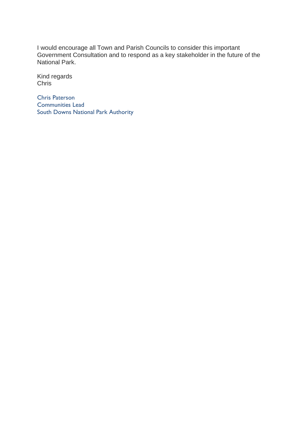I would encourage all Town and Parish Councils to consider this important Government Consultation and to respond as a key stakeholder in the future of the National Park.

Kind regards Chris

Chris Paterson Communities Lead South Downs National Park Authority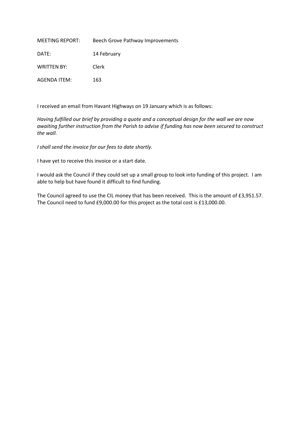<span id="page-14-0"></span>

| MEETING REPORT:    | Beech Grove Pathway Improvements |
|--------------------|----------------------------------|
| DATE:              | 14 February                      |
| <b>WRITTEN BY:</b> | Clerk                            |
| AGENDA ITEM:       | 163                              |

I received an email from Havant Highways on 19 January which is as follows:

*Having fulfilled our brief by providing a quote and a conceptual design for the wall we are now awaiting further instruction from the Parish to advise if funding has now been secured to construct the wall.*

*I shall send the invoice for our fees to date shortly.*

I have yet to receive this invoice or a start date.

I would ask the Council if they could set up a small group to look into funding of this project. I am able to help but have found it difficult to find funding.

The Council agreed to use the CIL money that has been received. This is the amount of £3,951.57. The Council need to fund £9,000.00 for this project as the total cost is £13,000.00.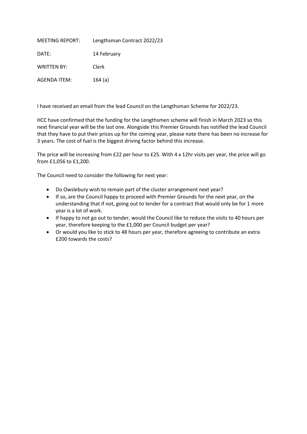<span id="page-15-0"></span>

| <b>MEETING REPORT:</b> | Lengthsman Contract 2022/23 |
|------------------------|-----------------------------|
| DATE:                  | 14 February                 |
| <b>WRITTEN BY:</b>     | Clerk                       |
| AGENDA ITEM:           | 164(a)                      |

I have received an email from the lead Council on the Lengthsman Scheme for 2022/23.

HCC have confirmed that the funding for the Lengthsmen scheme will finish in March 2023 so this next financial year will be the last one. Alongside this Premier Grounds has notified the lead Council that they have to put their prices up for the coming year, please note there has been no increase for 3 years. The cost of fuel is the biggest driving factor behind this increase.

The price will be increasing from £22 per hour to £25. With 4 x 12hr visits per year, the price will go from £1,056 to £1,200.

The Council need to consider the following for next year:

- Do Owslebury wish to remain part of the cluster arrangement next year?
- If so, are the Council happy to proceed with Premier Grounds for the next year, on the understanding that if not, going out to tender for a contract that would only be for 1 more year is a lot of work.
- If happy to not go out to tender, would the Council like to reduce the visits to 40 hours per year, therefore keeping to the £1,000 per Council budget per year?
- Or would you like to stick to 48 hours per year, therefore agreeing to contribute an extra £200 towards the costs?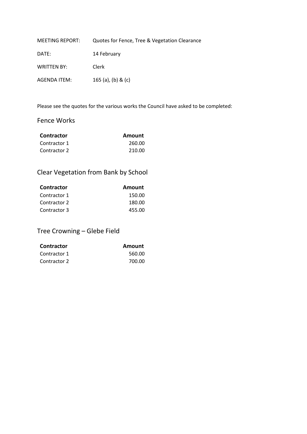<span id="page-16-0"></span>

| <b>MEETING REPORT:</b> | Quotes for Fence, Tree & Vegetation Clearance |
|------------------------|-----------------------------------------------|
| DATE:                  | 14 February                                   |
| <b>WRITTEN BY:</b>     | Clerk                                         |
| AGENDA ITEM:           | 165 (a), (b) & (c)                            |

Please see the quotes for the various works the Council have asked to be completed:

# Fence Works

| <b>Contractor</b> | Amount |
|-------------------|--------|
| Contractor 1      | 260.00 |
| Contractor 2      | 210.00 |

# Clear Vegetation from Bank by School

| <b>Contractor</b> | Amount |
|-------------------|--------|
| Contractor 1      | 150.00 |
| Contractor 2      | 180.00 |
| Contractor 3      | 455.00 |

Tree Crowning – Glebe Field

| <b>Contractor</b> | Amount |
|-------------------|--------|
| Contractor 1      | 560.00 |
| Contractor 2      | 700.00 |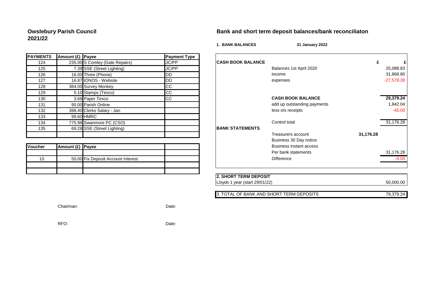# **2021/22**

#### **Owslebury Parish Council Bank and short term deposit balances/bank reconciliaton**

**1. BANK BALANCES 31 January 2022**

| <b>PAYMENTS</b> | Amount (£) Payee |                                | <b>Payment Type</b> |                        |
|-----------------|------------------|--------------------------------|---------------------|------------------------|
| 124             |                  | 235.00 S Comley (Gate Repairs) | JC/PP               | <b>CASH BOOK BALAN</b> |
| 125             |                  | 7.39 SSE (Street Lighting)     | JC/PP               |                        |
| 126             |                  | 16.00 Three (Phone)            | IDD                 |                        |
| 127             |                  | 16.87 IONOS - Website          | DD                  |                        |
| 128             |                  | 384.00 Survey Monkey           | CC                  |                        |
| 129             |                  | 5.10 Stamps (Tesco)            | CC                  |                        |
| 130             |                  | 3.68 Paper Tesco               | <b>CC</b>           |                        |
| 131             |                  | 90.00 Parish Online            |                     |                        |
| 132             |                  | 398.40 Clerks Salary - Jan     |                     |                        |
| 133             |                  | 99.60 HMRC                     |                     |                        |
| 134             |                  | 775.98 Swanmore PC (CSO)       |                     |                        |
| 135             |                  | 69.28 SSE (Street Lighting)    |                     | <b>BANK STATEMENTS</b> |
|                 |                  |                                |                     |                        |

<span id="page-17-0"></span>

| <b>Voucher</b> | Amount (£) Payee |                                    |  | <b>Business Instant access</b> |
|----------------|------------------|------------------------------------|--|--------------------------------|
|                |                  |                                    |  | Per bank statements            |
| 10             |                  | 50.00 Fix Deposit Account Interest |  | <b>Difference</b>              |
|                |                  |                                    |  |                                |
|                |                  |                                    |  |                                |

| <b>IENTS</b> | [Amount (£) [Payee] |                                    | <b>Payment Type</b> |                          |                                |           |              |
|--------------|---------------------|------------------------------------|---------------------|--------------------------|--------------------------------|-----------|--------------|
| 124          |                     | 235.00 S Comley (Gate Repairs)     | JC/PP               | <b>CASH BOOK BALANCE</b> |                                |           |              |
| 125          |                     | 7.39 SSE (Street Lighting)         | JC/PP               |                          | Balances 1st April 2020        |           | 25,088.83    |
| 126          |                     | 16.00 Three (Phone)                | <b>I</b> DD         |                          | income                         |           | 31,868.80    |
| 127          |                     | 16.87 IONOS - Website              | DD                  |                          | expenses                       |           | $-27,578.39$ |
| 128          |                     | 384.00 Survey Monkey               | <b>CC</b>           |                          |                                |           |              |
| 129          |                     | 5.10 Stamps (Tesco)                | <b>CC</b>           |                          |                                |           |              |
| 130          |                     | 3.68 Paper Tesco                   | <b>CC</b>           |                          | <b>CASH BOOK BALANCE</b>       |           | 29,379.24    |
| 131          |                     | 90.00 Parish Online                |                     |                          | add up outstanding payments    |           | 1,842.04     |
| 132          |                     | 398.40 Clerks Salary - Jan         |                     |                          | less o/s receipts              |           | $-45.00$     |
| 133          |                     | 99.60 HMRC                         |                     |                          |                                |           |              |
| 134          |                     | 775.98 Swanmore PC (CSO)           |                     |                          | Control total                  |           | 31,176.28    |
| 135          |                     | 69.28 SSE (Street Lighting)        |                     | <b>BANK STATEMENTS</b>   |                                |           |              |
|              |                     |                                    |                     |                          | Treasurers account             | 31,176.28 |              |
|              |                     |                                    |                     |                          | Business 30 Day notice         |           |              |
| her          | Amount (£) Payee    |                                    |                     |                          | <b>Business Instant access</b> |           |              |
|              |                     |                                    |                     |                          | Per bank statements            |           | 31,176.28    |
| 10           |                     | 50.00 Fix Deposit Account Interest |                     |                          | <b>Difference</b>              |           | $-0.00$      |
|              |                     |                                    |                     |                          |                                |           |              |

| <b>12. SHORT TERM DEPOSIT</b>  |           |
|--------------------------------|-----------|
| Lloyds 1 year (start 29/01/22) | 50.000.00 |

3. TOTAL OF BANK AND SHORT TERM DEPOSITS 79,379.24

Chairman: Date:

RFO: Date: Date: Date: Date: Date: Date: Date: Date: Date: Date: Date: Date: Date: Date: Date: Date:  $\sim$  Date:  $\sim$  Date:  $\sim$  0.075  $\sim$  0.075  $\sim$  0.075  $\sim$  0.075  $\sim$  0.075  $\sim$  0.075  $\sim$  0.075  $\sim$  0.075  $\sim$  0.075